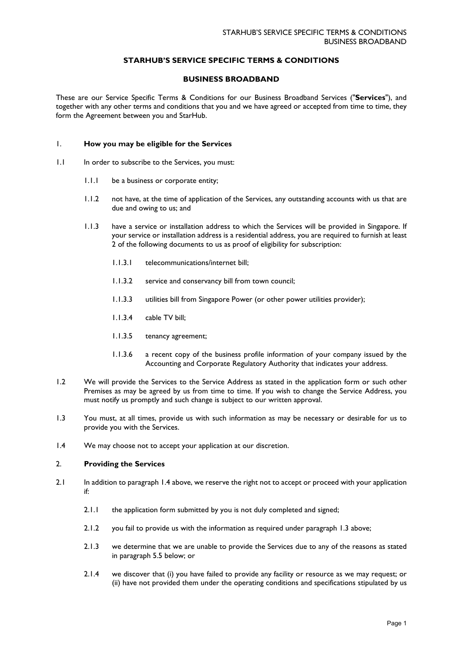## **STARHUB'S SERVICE SPECIFIC TERMS & CONDITIONS**

### **BUSINESS BROADBAND**

These are our Service Specific Terms & Conditions for our Business Broadband Services ("**Services**"), and together with any other terms and conditions that you and we have agreed or accepted from time to time, they form the Agreement between you and StarHub.

### 1. **How you may be eligible for the Services**

- 1.1 In order to subscribe to the Services, you must:
	- 1.1.1 be a business or corporate entity;
	- 1.1.2 not have, at the time of application of the Services, any outstanding accounts with us that are due and owing to us; and
	- 1.1.3 have a service or installation address to which the Services will be provided in Singapore. If your service or installation address is a residential address, you are required to furnish at least 2 of the following documents to us as proof of eligibility for subscription:
		- 1.1.3.1 telecommunications/internet bill;
		- 1.1.3.2 service and conservancy bill from town council;
		- 1.1.3.3 utilities bill from Singapore Power (or other power utilities provider);
		- 1.1.3.4 cable TV bill;
		- 1.1.3.5 tenancy agreement;
		- 1.1.3.6 a recent copy of the business profile information of your company issued by the Accounting and Corporate Regulatory Authority that indicates your address.
- 1.2 We will provide the Services to the Service Address as stated in the application form or such other Premises as may be agreed by us from time to time. If you wish to change the Service Address, you must notify us promptly and such change is subject to our written approval.
- 1.3 You must, at all times, provide us with such information as may be necessary or desirable for us to provide you with the Services.
- 1.4 We may choose not to accept your application at our discretion.

## 2. **Providing the Services**

- 2.1 In addition to paragraph 1.4 above, we reserve the right not to accept or proceed with your application if:
	- 2.1.1 the application form submitted by you is not duly completed and signed;
	- 2.1.2 you fail to provide us with the information as required under paragraph 1.3 above;
	- 2.1.3 we determine that we are unable to provide the Services due to any of the reasons as stated in paragraph 5.5 below; or
	- 2.1.4 we discover that (i) you have failed to provide any facility or resource as we may request; or (ii) have not provided them under the operating conditions and specifications stipulated by us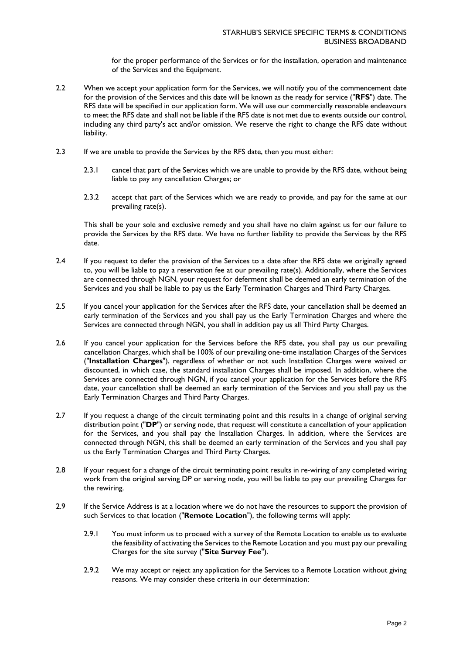for the proper performance of the Services or for the installation, operation and maintenance of the Services and the Equipment.

- 2.2 When we accept your application form for the Services, we will notify you of the commencement date for the provision of the Services and this date will be known as the ready for service ("**RFS**") date. The RFS date will be specified in our application form. We will use our commercially reasonable endeavours to meet the RFS date and shall not be liable if the RFS date is not met due to events outside our control, including any third party's act and/or omission. We reserve the right to change the RFS date without liability.
- 2.3 If we are unable to provide the Services by the RFS date, then you must either:
	- 2.3.1 cancel that part of the Services which we are unable to provide by the RFS date, without being liable to pay any cancellation Charges; or
	- 2.3.2 accept that part of the Services which we are ready to provide, and pay for the same at our prevailing rate(s).

This shall be your sole and exclusive remedy and you shall have no claim against us for our failure to provide the Services by the RFS date. We have no further liability to provide the Services by the RFS date.

- 2.4 If you request to defer the provision of the Services to a date after the RFS date we originally agreed to, you will be liable to pay a reservation fee at our prevailing rate(s). Additionally, where the Services are connected through NGN, your request for deferment shall be deemed an early termination of the Services and you shall be liable to pay us the Early Termination Charges and Third Party Charges.
- 2.5 If you cancel your application for the Services after the RFS date, your cancellation shall be deemed an early termination of the Services and you shall pay us the Early Termination Charges and where the Services are connected through NGN, you shall in addition pay us all Third Party Charges.
- 2.6 If you cancel your application for the Services before the RFS date, you shall pay us our prevailing cancellation Charges, which shall be 100% of our prevailing one-time installation Charges of the Services ("**Installation Charges**"), regardless of whether or not such Installation Charges were waived or discounted, in which case, the standard installation Charges shall be imposed. In addition, where the Services are connected through NGN, if you cancel your application for the Services before the RFS date, your cancellation shall be deemed an early termination of the Services and you shall pay us the Early Termination Charges and Third Party Charges.
- 2.7 If you request a change of the circuit terminating point and this results in a change of original serving distribution point ("**DP**") or serving node, that request will constitute a cancellation of your application for the Services, and you shall pay the Installation Charges. In addition, where the Services are connected through NGN, this shall be deemed an early termination of the Services and you shall pay us the Early Termination Charges and Third Party Charges.
- 2.8 If your request for a change of the circuit terminating point results in re-wiring of any completed wiring work from the original serving DP or serving node, you will be liable to pay our prevailing Charges for the rewiring.
- 2.9 If the Service Address is at a location where we do not have the resources to support the provision of such Services to that location ("**Remote Location**"), the following terms will apply:
	- 2.9.1 You must inform us to proceed with a survey of the Remote Location to enable us to evaluate the feasibility of activating the Services to the Remote Location and you must pay our prevailing Charges for the site survey ("**Site Survey Fee**").
	- 2.9.2 We may accept or reject any application for the Services to a Remote Location without giving reasons. We may consider these criteria in our determination: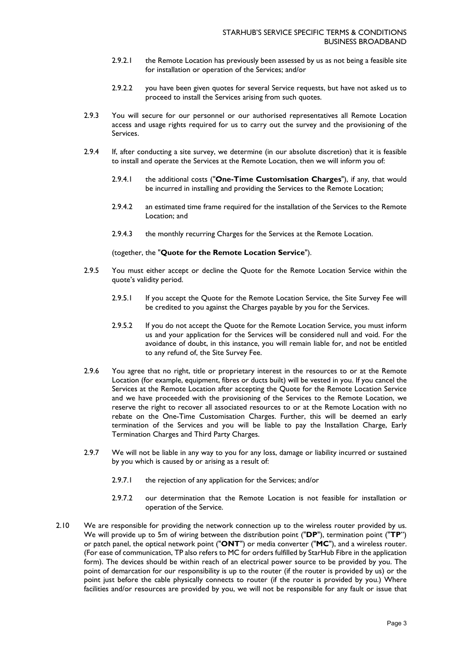- 2.9.2.1 the Remote Location has previously been assessed by us as not being a feasible site for installation or operation of the Services; and/or
- 2.9.2.2 you have been given quotes for several Service requests, but have not asked us to proceed to install the Services arising from such quotes.
- 2.9.3 You will secure for our personnel or our authorised representatives all Remote Location access and usage rights required for us to carry out the survey and the provisioning of the Services.
- 2.9.4 If, after conducting a site survey, we determine (in our absolute discretion) that it is feasible to install and operate the Services at the Remote Location, then we will inform you of:
	- 2.9.4.1 the additional costs ("**One-Time Customisation Charges**"), if any, that would be incurred in installing and providing the Services to the Remote Location;
	- 2.9.4.2 an estimated time frame required for the installation of the Services to the Remote Location; and
	- 2.9.4.3 the monthly recurring Charges for the Services at the Remote Location.

(together, the "**Quote for the Remote Location Service**").

- 2.9.5 You must either accept or decline the Quote for the Remote Location Service within the quote's validity period.
	- 2.9.5.1 If you accept the Quote for the Remote Location Service, the Site Survey Fee will be credited to you against the Charges payable by you for the Services.
	- 2.9.5.2 If you do not accept the Quote for the Remote Location Service, you must inform us and your application for the Services will be considered null and void. For the avoidance of doubt, in this instance, you will remain liable for, and not be entitled to any refund of, the Site Survey Fee.
- 2.9.6 You agree that no right, title or proprietary interest in the resources to or at the Remote Location (for example, equipment, fibres or ducts built) will be vested in you. If you cancel the Services at the Remote Location after accepting the Quote for the Remote Location Service and we have proceeded with the provisioning of the Services to the Remote Location, we reserve the right to recover all associated resources to or at the Remote Location with no rebate on the One-Time Customisation Charges. Further, this will be deemed an early termination of the Services and you will be liable to pay the Installation Charge, Early Termination Charges and Third Party Charges.
- 2.9.7 We will not be liable in any way to you for any loss, damage or liability incurred or sustained by you which is caused by or arising as a result of:
	- 2.9.7.1 the rejection of any application for the Services; and/or
	- 2.9.7.2 our determination that the Remote Location is not feasible for installation or operation of the Service.
- 2.10 We are responsible for providing the network connection up to the wireless router provided by us. We will provide up to 5m of wiring between the distribution point ("**DP**"), termination point ("**TP**") or patch panel, the optical network point ("**ONT**") or media converter ("**MC**"), and a wireless router. (For ease of communication, TP also refers to MC for orders fulfilled by StarHub Fibre in the application form). The devices should be within reach of an electrical power source to be provided by you. The point of demarcation for our responsibility is up to the router (if the router is provided by us) or the point just before the cable physically connects to router (if the router is provided by you.) Where facilities and/or resources are provided by you, we will not be responsible for any fault or issue that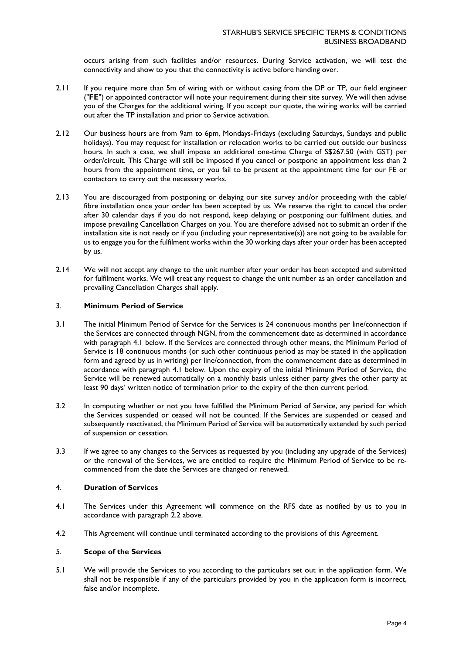occurs arising from such facilities and/or resources. During Service activation, we will test the connectivity and show to you that the connectivity is active before handing over.

- 2.11 If you require more than 5m of wiring with or without casing from the DP or TP, our field engineer ("**FE**") or appointed contractor will note your requirement during their site survey. We will then advise you of the Charges for the additional wiring. If you accept our quote, the wiring works will be carried out after the TP installation and prior to Service activation.
- 2.12 Our business hours are from 9am to 6pm, Mondays-Fridays (excluding Saturdays, Sundays and public holidays). You may request for installation or relocation works to be carried out outside our business hours. In such a case, we shall impose an additional one-time Charge of S\$267.50 (with GST) per order/circuit. This Charge will still be imposed if you cancel or postpone an appointment less than 2 hours from the appointment time, or you fail to be present at the appointment time for our FE or contactors to carry out the necessary works.
- 2.13 You are discouraged from postponing or delaying our site survey and/or proceeding with the cable/ fibre installation once your order has been accepted by us. We reserve the right to cancel the order after 30 calendar days if you do not respond, keep delaying or postponing our fulfilment duties, and impose prevailing Cancellation Charges on you. You are therefore advised not to submit an order if the installation site is not ready or if you (including your representative(s)) are not going to be available for us to engage you for the fulfilment works within the 30 working days after your order has been accepted by us.
- 2.14 We will not accept any change to the unit number after your order has been accepted and submitted for fulfilment works. We will treat any request to change the unit number as an order cancellation and prevailing Cancellation Charges shall apply.

### 3. **Minimum Period of Service**

- 3.1 The initial Minimum Period of Service for the Services is 24 continuous months per line/connection if the Services are connected through NGN, from the commencement date as determined in accordance with paragraph 4.1 below. If the Services are connected through other means, the Minimum Period of Service is 18 continuous months (or such other continuous period as may be stated in the application form and agreed by us in writing) per line/connection, from the commencement date as determined in accordance with paragraph 4.1 below. Upon the expiry of the initial Minimum Period of Service, the Service will be renewed automatically on a monthly basis unless either party gives the other party at least 90 days' written notice of termination prior to the expiry of the then current period.
- 3.2 In computing whether or not you have fulfilled the Minimum Period of Service, any period for which the Services suspended or ceased will not be counted. If the Services are suspended or ceased and subsequently reactivated, the Minimum Period of Service will be automatically extended by such period of suspension or cessation.
- 3.3 If we agree to any changes to the Services as requested by you (including any upgrade of the Services) or the renewal of the Services, we are entitled to require the Minimum Period of Service to be recommenced from the date the Services are changed or renewed.

### 4. **Duration of Services**

- 4.1 The Services under this Agreement will commence on the RFS date as notified by us to you in accordance with paragraph 2.2 above.
- 4.2 This Agreement will continue until terminated according to the provisions of this Agreement.

### 5. **Scope of the Services**

5.1 We will provide the Services to you according to the particulars set out in the application form. We shall not be responsible if any of the particulars provided by you in the application form is incorrect, false and/or incomplete.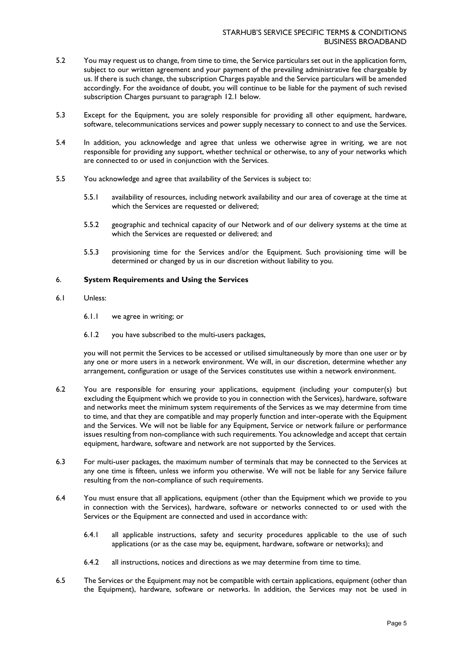- 5.2 You may request us to change, from time to time, the Service particulars set out in the application form, subject to our written agreement and your payment of the prevailing administrative fee chargeable by us. If there is such change, the subscription Charges payable and the Service particulars will be amended accordingly. For the avoidance of doubt, you will continue to be liable for the payment of such revised subscription Charges pursuant to paragraph 12.1 below.
- 5.3 Except for the Equipment, you are solely responsible for providing all other equipment, hardware, software, telecommunications services and power supply necessary to connect to and use the Services.
- 5.4 In addition, you acknowledge and agree that unless we otherwise agree in writing, we are not responsible for providing any support, whether technical or otherwise, to any of your networks which are connected to or used in conjunction with the Services.
- 5.5 You acknowledge and agree that availability of the Services is subject to:
	- 5.5.1 availability of resources, including network availability and our area of coverage at the time at which the Services are requested or delivered;
	- 5.5.2 geographic and technical capacity of our Network and of our delivery systems at the time at which the Services are requested or delivered; and
	- 5.5.3 provisioning time for the Services and/or the Equipment. Such provisioning time will be determined or changed by us in our discretion without liability to you.

#### 6. **System Requirements and Using the Services**

- 6.1 Unless:
	- 6.1.1 we agree in writing; or
	- 6.1.2 you have subscribed to the multi-users packages,

you will not permit the Services to be accessed or utilised simultaneously by more than one user or by any one or more users in a network environment. We will, in our discretion, determine whether any arrangement, configuration or usage of the Services constitutes use within a network environment.

- 6.2 You are responsible for ensuring your applications, equipment (including your computer(s) but excluding the Equipment which we provide to you in connection with the Services), hardware, software and networks meet the minimum system requirements of the Services as we may determine from time to time, and that they are compatible and may properly function and inter-operate with the Equipment and the Services. We will not be liable for any Equipment, Service or network failure or performance issues resulting from non-compliance with such requirements. You acknowledge and accept that certain equipment, hardware, software and network are not supported by the Services.
- 6.3 For multi-user packages, the maximum number of terminals that may be connected to the Services at any one time is fifteen, unless we inform you otherwise. We will not be liable for any Service failure resulting from the non-compliance of such requirements.
- 6.4 You must ensure that all applications, equipment (other than the Equipment which we provide to you in connection with the Services), hardware, software or networks connected to or used with the Services or the Equipment are connected and used in accordance with:
	- 6.4.1 all applicable instructions, safety and security procedures applicable to the use of such applications (or as the case may be, equipment, hardware, software or networks); and
	- 6.4.2 all instructions, notices and directions as we may determine from time to time.
- 6.5 The Services or the Equipment may not be compatible with certain applications, equipment (other than the Equipment), hardware, software or networks. In addition, the Services may not be used in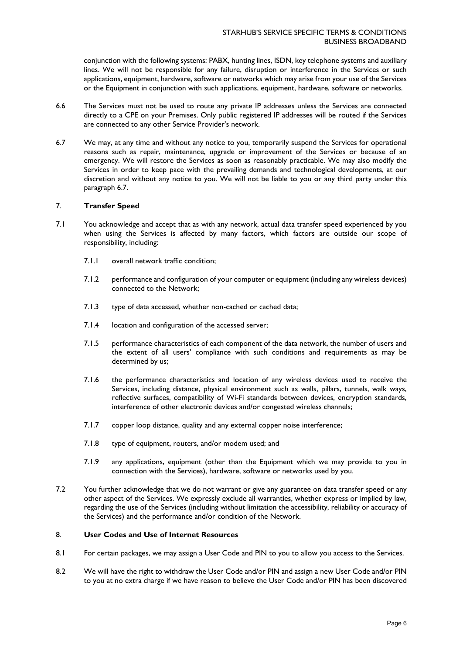conjunction with the following systems: PABX, hunting lines, ISDN, key telephone systems and auxiliary lines. We will not be responsible for any failure, disruption or interference in the Services or such applications, equipment, hardware, software or networks which may arise from your use of the Services or the Equipment in conjunction with such applications, equipment, hardware, software or networks.

- 6.6 The Services must not be used to route any private IP addresses unless the Services are connected directly to a CPE on your Premises. Only public registered IP addresses will be routed if the Services are connected to any other Service Provider's network.
- 6.7 We may, at any time and without any notice to you, temporarily suspend the Services for operational reasons such as repair, maintenance, upgrade or improvement of the Services or because of an emergency. We will restore the Services as soon as reasonably practicable. We may also modify the Services in order to keep pace with the prevailing demands and technological developments, at our discretion and without any notice to you. We will not be liable to you or any third party under this paragraph 6.7.

### 7. **Transfer Speed**

- 7.1 You acknowledge and accept that as with any network, actual data transfer speed experienced by you when using the Services is affected by many factors, which factors are outside our scope of responsibility, including:
	- 7.1.1 overall network traffic condition;
	- 7.1.2 performance and configuration of your computer or equipment (including any wireless devices) connected to the Network;
	- 7.1.3 type of data accessed, whether non-cached or cached data;
	- 7.1.4 location and configuration of the accessed server;
	- 7.1.5 performance characteristics of each component of the data network, the number of users and the extent of all users' compliance with such conditions and requirements as may be determined by us;
	- 7.1.6 the performance characteristics and location of any wireless devices used to receive the Services, including distance, physical environment such as walls, pillars, tunnels, walk ways, reflective surfaces, compatibility of Wi-Fi standards between devices, encryption standards, interference of other electronic devices and/or congested wireless channels;
	- 7.1.7 copper loop distance, quality and any external copper noise interference;
	- 7.1.8 type of equipment, routers, and/or modem used; and
	- 7.1.9 any applications, equipment (other than the Equipment which we may provide to you in connection with the Services), hardware, software or networks used by you.
- 7.2 You further acknowledge that we do not warrant or give any guarantee on data transfer speed or any other aspect of the Services. We expressly exclude all warranties, whether express or implied by law, regarding the use of the Services (including without limitation the accessibility, reliability or accuracy of the Services) and the performance and/or condition of the Network.

### 8. **User Codes and Use of Internet Resources**

- 8.1 For certain packages, we may assign a User Code and PIN to you to allow you access to the Services.
- 8.2 We will have the right to withdraw the User Code and/or PIN and assign a new User Code and/or PIN to you at no extra charge if we have reason to believe the User Code and/or PIN has been discovered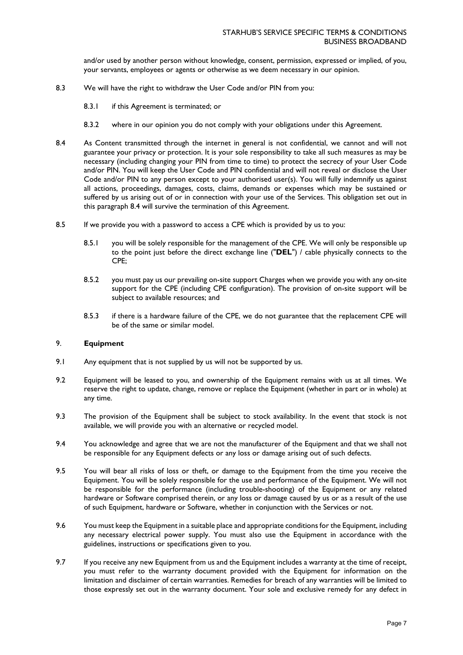and/or used by another person without knowledge, consent, permission, expressed or implied, of you, your servants, employees or agents or otherwise as we deem necessary in our opinion.

- 8.3 We will have the right to withdraw the User Code and/or PIN from you:
	- 8.3.1 if this Agreement is terminated; or
	- 8.3.2 where in our opinion you do not comply with your obligations under this Agreement.
- 8.4 As Content transmitted through the internet in general is not confidential, we cannot and will not guarantee your privacy or protection. It is your sole responsibility to take all such measures as may be necessary (including changing your PIN from time to time) to protect the secrecy of your User Code and/or PIN. You will keep the User Code and PIN confidential and will not reveal or disclose the User Code and/or PIN to any person except to your authorised user(s). You will fully indemnify us against all actions, proceedings, damages, costs, claims, demands or expenses which may be sustained or suffered by us arising out of or in connection with your use of the Services. This obligation set out in this paragraph 8.4 will survive the termination of this Agreement.
- 8.5 If we provide you with a password to access a CPE which is provided by us to you:
	- 8.5.1 you will be solely responsible for the management of the CPE. We will only be responsible up to the point just before the direct exchange line ("**DEL**") / cable physically connects to the CPE;
	- 8.5.2 you must pay us our prevailing on-site support Charges when we provide you with any on-site support for the CPE (including CPE configuration). The provision of on-site support will be subject to available resources; and
	- 8.5.3 if there is a hardware failure of the CPE, we do not guarantee that the replacement CPE will be of the same or similar model.

### 9. **Equipment**

- 9.1 Any equipment that is not supplied by us will not be supported by us.
- 9.2 Equipment will be leased to you, and ownership of the Equipment remains with us at all times. We reserve the right to update, change, remove or replace the Equipment (whether in part or in whole) at any time.
- 9.3 The provision of the Equipment shall be subject to stock availability. In the event that stock is not available, we will provide you with an alternative or recycled model.
- 9.4 You acknowledge and agree that we are not the manufacturer of the Equipment and that we shall not be responsible for any Equipment defects or any loss or damage arising out of such defects.
- 9.5 You will bear all risks of loss or theft, or damage to the Equipment from the time you receive the Equipment. You will be solely responsible for the use and performance of the Equipment. We will not be responsible for the performance (including trouble-shooting) of the Equipment or any related hardware or Software comprised therein, or any loss or damage caused by us or as a result of the use of such Equipment, hardware or Software, whether in conjunction with the Services or not.
- 9.6 You must keep the Equipment in a suitable place and appropriate conditions for the Equipment, including any necessary electrical power supply. You must also use the Equipment in accordance with the guidelines, instructions or specifications given to you.
- 9.7 If you receive any new Equipment from us and the Equipment includes a warranty at the time of receipt, you must refer to the warranty document provided with the Equipment for information on the limitation and disclaimer of certain warranties. Remedies for breach of any warranties will be limited to those expressly set out in the warranty document. Your sole and exclusive remedy for any defect in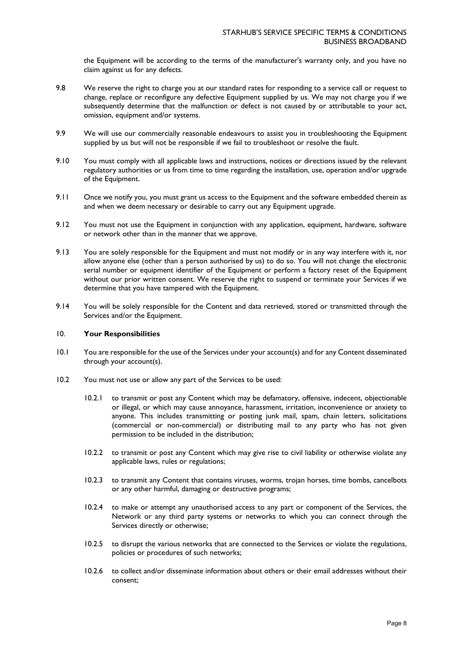the Equipment will be according to the terms of the manufacturer's warranty only, and you have no claim against us for any defects.

- 9.8 We reserve the right to charge you at our standard rates for responding to a service call or request to change, replace or reconfigure any defective Equipment supplied by us. We may not charge you if we subsequently determine that the malfunction or defect is not caused by or attributable to your act, omission, equipment and/or systems.
- 9.9 We will use our commercially reasonable endeavours to assist you in troubleshooting the Equipment supplied by us but will not be responsible if we fail to troubleshoot or resolve the fault.
- 9.10 You must comply with all applicable laws and instructions, notices or directions issued by the relevant regulatory authorities or us from time to time regarding the installation, use, operation and/or upgrade of the Equipment.
- 9.11 Once we notify you, you must grant us access to the Equipment and the software embedded therein as and when we deem necessary or desirable to carry out any Equipment upgrade.
- 9.12 You must not use the Equipment in conjunction with any application, equipment, hardware, software or network other than in the manner that we approve.
- 9.13 You are solely responsible for the Equipment and must not modify or in any way interfere with it, nor allow anyone else (other than a person authorised by us) to do so. You will not change the electronic serial number or equipment identifier of the Equipment or perform a factory reset of the Equipment without our prior written consent. We reserve the right to suspend or terminate your Services if we determine that you have tampered with the Equipment.
- 9.14 You will be solely responsible for the Content and data retrieved, stored or transmitted through the Services and/or the Equipment.

### 10. **Your Responsibilities**

- 10.1 You are responsible for the use of the Services under your account(s) and for any Content disseminated through your account(s).
- 10.2 You must not use or allow any part of the Services to be used:
	- 10.2.1 to transmit or post any Content which may be defamatory, offensive, indecent, objectionable or illegal, or which may cause annoyance, harassment, irritation, inconvenience or anxiety to anyone. This includes transmitting or posting junk mail, spam, chain letters, solicitations (commercial or non-commercial) or distributing mail to any party who has not given permission to be included in the distribution;
	- 10.2.2 to transmit or post any Content which may give rise to civil liability or otherwise violate any applicable laws, rules or regulations;
	- 10.2.3 to transmit any Content that contains viruses, worms, trojan horses, time bombs, cancelbots or any other harmful, damaging or destructive programs;
	- 10.2.4 to make or attempt any unauthorised access to any part or component of the Services, the Network or any third party systems or networks to which you can connect through the Services directly or otherwise;
	- 10.2.5 to disrupt the various networks that are connected to the Services or violate the regulations, policies or procedures of such networks;
	- 10.2.6 to collect and/or disseminate information about others or their email addresses without their consent;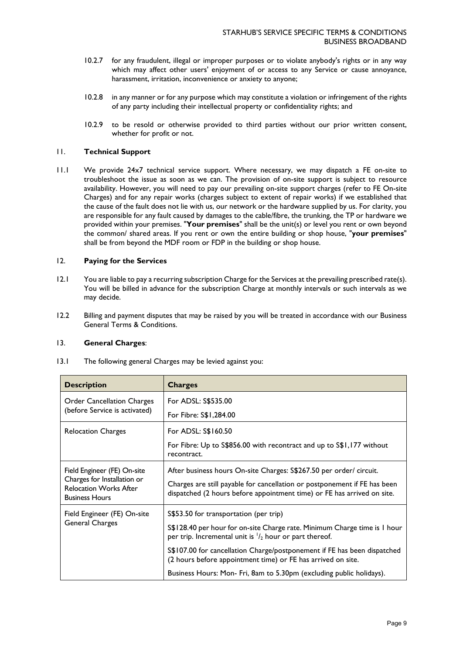- 10.2.7 for any fraudulent, illegal or improper purposes or to violate anybody's rights or in any way which may affect other users' enjoyment of or access to any Service or cause annoyance, harassment, irritation, inconvenience or anxiety to anyone;
- 10.2.8 in any manner or for any purpose which may constitute a violation or infringement of the rights of any party including their intellectual property or confidentiality rights; and
- 10.2.9 to be resold or otherwise provided to third parties without our prior written consent, whether for profit or not.

### 11. **Technical Support**

11.1 We provide 24x7 technical service support. Where necessary, we may dispatch a FE on-site to troubleshoot the issue as soon as we can. The provision of on-site support is subject to resource availability. However, you will need to pay our prevailing on-site support charges (refer to FE On-site Charges) and for any repair works (charges subject to extent of repair works) if we established that the cause of the fault does not lie with us, our network or the hardware supplied by us. For clarity, you are responsible for any fault caused by damages to the cable/fibre, the trunking, the TP or hardware we provided within your premises. "**Your premises**" shall be the unit(s) or level you rent or own beyond the common/ shared areas. If you rent or own the entire building or shop house, "**your premises**" shall be from beyond the MDF room or FDP in the building or shop house.

#### 12. **Paying for the Services**

- 12.1 You are liable to pay a recurring subscription Charge for the Services at the prevailing prescribed rate(s). You will be billed in advance for the subscription Charge at monthly intervals or such intervals as we may decide.
- 12.2 Billing and payment disputes that may be raised by you will be treated in accordance with our Business General Terms & Conditions.

#### 13. **General Charges**:

13.1 The following general Charges may be levied against you:

| <b>Description</b>                                                                                                   | <b>Charges</b>                                                                                                                                       |
|----------------------------------------------------------------------------------------------------------------------|------------------------------------------------------------------------------------------------------------------------------------------------------|
| <b>Order Cancellation Charges</b><br>(before Service is activated)                                                   | For ADSL: S\$535.00                                                                                                                                  |
|                                                                                                                      | For Fibre: S\$1,284.00                                                                                                                               |
| <b>Relocation Charges</b>                                                                                            | For ADSL: S\$160.50                                                                                                                                  |
|                                                                                                                      | For Fibre: Up to S\$856.00 with recontract and up to S\$1,177 without<br>recontract.                                                                 |
| Field Engineer (FE) On-site<br>Charges for Installation or<br><b>Relocation Works After</b><br><b>Business Hours</b> | After business hours On-site Charges: S\$267.50 per order/ circuit.                                                                                  |
|                                                                                                                      | Charges are still payable for cancellation or postponement if FE has been<br>dispatched (2 hours before appointment time) or FE has arrived on site. |
| Field Engineer (FE) On-site<br><b>General Charges</b>                                                                | \$\$53.50 for transportation (per trip)                                                                                                              |
|                                                                                                                      | S\$128.40 per hour for on-site Charge rate. Minimum Charge time is 1 hour<br>per trip. Incremental unit is $\frac{1}{2}$ hour or part thereof.       |
|                                                                                                                      | S\$107.00 for cancellation Charge/postponement if FE has been dispatched<br>(2 hours before appointment time) or FE has arrived on site.             |
|                                                                                                                      | Business Hours: Mon- Fri, 8am to 5.30pm (excluding public holidays).                                                                                 |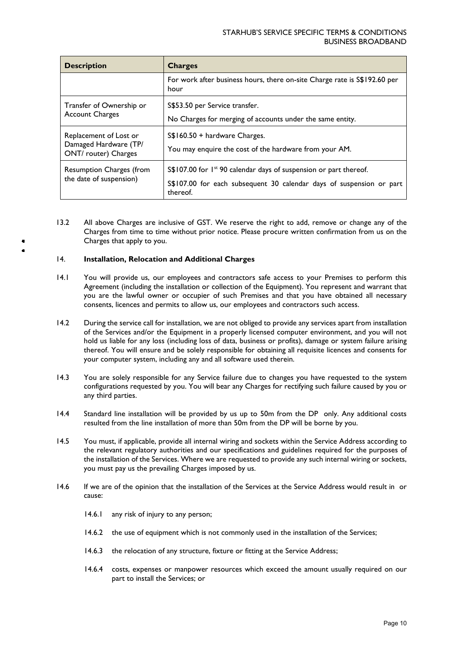| <b>Description</b>                                                      | <b>Charges</b>                                                                                                                                                     |
|-------------------------------------------------------------------------|--------------------------------------------------------------------------------------------------------------------------------------------------------------------|
|                                                                         | For work after business hours, there on-site Charge rate is \$\$192.60 per<br>hour                                                                                 |
| Transfer of Ownership or<br><b>Account Charges</b>                      | S\$53.50 per Service transfer.<br>No Charges for merging of accounts under the same entity.                                                                        |
| Replacement of Lost or<br>Damaged Hardware (TP/<br>ONT/ router) Charges | $S$160.50 + hardware Changes.$<br>You may enquire the cost of the hardware from your AM.                                                                           |
| Resumption Charges (from<br>the date of suspension)                     | $S$107.00$ for $I^{\text{st}}$ 90 calendar days of suspension or part thereof.<br>S\$107.00 for each subsequent 30 calendar days of suspension or part<br>thereof. |

13.2 All above Charges are inclusive of GST. We reserve the right to add, remove or change any of the Charges from time to time without prior notice. Please procure written confirmation from us on the Charges that apply to you.

#### 14. **Installation, Relocation and Additional Charges**

- 14.1 You will provide us, our employees and contractors safe access to your Premises to perform this Agreement (including the installation or collection of the Equipment). You represent and warrant that you are the lawful owner or occupier of such Premises and that you have obtained all necessary consents, licences and permits to allow us, our employees and contractors such access.
- 14.2 During the service call for installation, we are not obliged to provide any services apart from installation of the Services and/or the Equipment in a properly licensed computer environment, and you will not hold us liable for any loss (including loss of data, business or profits), damage or system failure arising thereof. You will ensure and be solely responsible for obtaining all requisite licences and consents for your computer system, including any and all software used therein.
- 14.3 You are solely responsible for any Service failure due to changes you have requested to the system configurations requested by you. You will bear any Charges for rectifying such failure caused by you or any third parties.
- 14.4 Standard line installation will be provided by us up to 50m from the DP only. Any additional costs resulted from the line installation of more than 50m from the DP will be borne by you.
- 14.5 You must, if applicable, provide all internal wiring and sockets within the Service Address according to the relevant regulatory authorities and our specifications and guidelines required for the purposes of the installation of the Services. Where we are requested to provide any such internal wiring or sockets, you must pay us the prevailing Charges imposed by us.
- 14.6 If we are of the opinion that the installation of the Services at the Service Address would result in or cause:
	- 14.6.1 any risk of injury to any person;
	- 14.6.2 the use of equipment which is not commonly used in the installation of the Services;
	- 14.6.3 the relocation of any structure, fixture or fitting at the Service Address;
	- 14.6.4 costs, expenses or manpower resources which exceed the amount usually required on our part to install the Services; or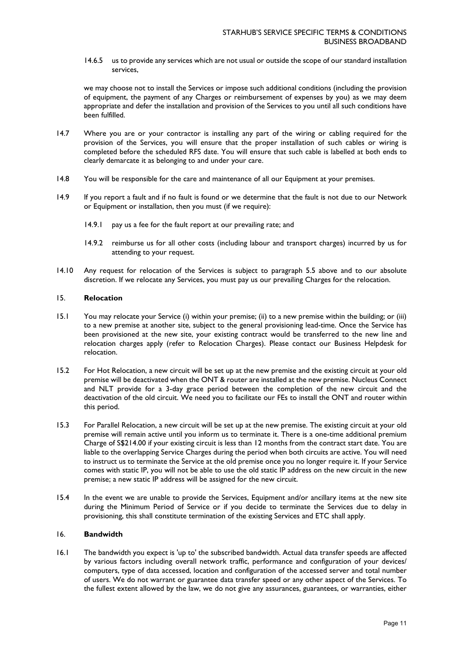14.6.5 us to provide any services which are not usual or outside the scope of our standard installation services,

we may choose not to install the Services or impose such additional conditions (including the provision of equipment, the payment of any Charges or reimbursement of expenses by you) as we may deem appropriate and defer the installation and provision of the Services to you until all such conditions have been fulfilled.

- 14.7 Where you are or your contractor is installing any part of the wiring or cabling required for the provision of the Services, you will ensure that the proper installation of such cables or wiring is completed before the scheduled RFS date. You will ensure that such cable is labelled at both ends to clearly demarcate it as belonging to and under your care.
- 14.8 You will be responsible for the care and maintenance of all our Equipment at your premises.
- 14.9 If you report a fault and if no fault is found or we determine that the fault is not due to our Network or Equipment or installation, then you must (if we require):
	- 14.9.1 pay us a fee for the fault report at our prevailing rate; and
	- 14.9.2 reimburse us for all other costs (including labour and transport charges) incurred by us for attending to your request.
- 14.10 Any request for relocation of the Services is subject to paragraph 5.5 above and to our absolute discretion. If we relocate any Services, you must pay us our prevailing Charges for the relocation.

#### 15. **Relocation**

- 15.1 You may relocate your Service (i) within your premise; (ii) to a new premise within the building; or (iii) to a new premise at another site, subject to the general provisioning lead-time. Once the Service has been provisioned at the new site, your existing contract would be transferred to the new line and relocation charges apply (refer to Relocation Charges). Please contact our Business Helpdesk for relocation.
- 15.2 For Hot Relocation, a new circuit will be set up at the new premise and the existing circuit at your old premise will be deactivated when the ONT & router are installed at the new premise. Nucleus Connect and NLT provide for a 3-day grace period between the completion of the new circuit and the deactivation of the old circuit. We need you to facilitate our FEs to install the ONT and router within this period.
- 15.3 For Parallel Relocation, a new circuit will be set up at the new premise. The existing circuit at your old premise will remain active until you inform us to terminate it. There is a one-time additional premium Charge of S\$214.00 if your existing circuit is less than 12 months from the contract start date. You are liable to the overlapping Service Charges during the period when both circuits are active. You will need to instruct us to terminate the Service at the old premise once you no longer require it. If your Service comes with static IP, you will not be able to use the old static IP address on the new circuit in the new premise; a new static IP address will be assigned for the new circuit.
- 15.4 In the event we are unable to provide the Services, Equipment and/or ancillary items at the new site during the Minimum Period of Service or if you decide to terminate the Services due to delay in provisioning, this shall constitute termination of the existing Services and ETC shall apply.

#### 16. **Bandwidth**

16.1 The bandwidth you expect is 'up to' the subscribed bandwidth. Actual data transfer speeds are affected by various factors including overall network traffic, performance and configuration of your devices/ computers, type of data accessed, location and configuration of the accessed server and total number of users. We do not warrant or guarantee data transfer speed or any other aspect of the Services. To the fullest extent allowed by the law, we do not give any assurances, guarantees, or warranties, either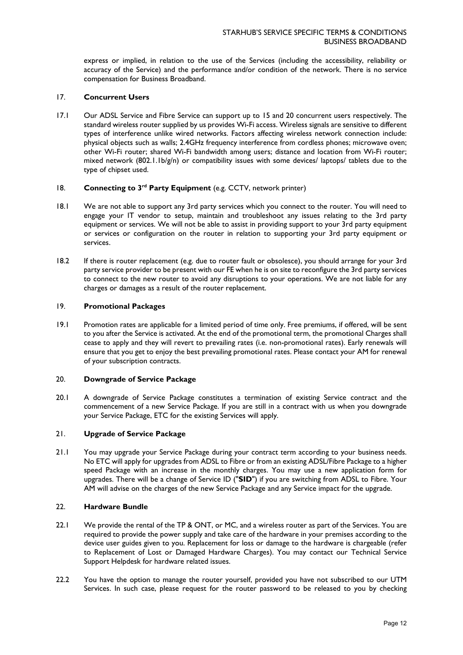express or implied, in relation to the use of the Services (including the accessibility, reliability or accuracy of the Service) and the performance and/or condition of the network. There is no service compensation for Business Broadband.

#### 17. **Concurrent Users**

17.1 Our ADSL Service and Fibre Service can support up to 15 and 20 concurrent users respectively. The standard wireless router supplied by us provides Wi-Fi access. Wireless signals are sensitive to different types of interference unlike wired networks. Factors affecting wireless network connection include: physical objects such as walls; 2.4GHz frequency interference from cordless phones; microwave oven; other Wi-Fi router; shared Wi-Fi bandwidth among users; distance and location from Wi-Fi router; mixed network (802.1.1b/g/n) or compatibility issues with some devices/ laptops/ tablets due to the type of chipset used.

# 18. **Connecting to 3rd Party Equipment** (e.g. CCTV, network printer)

- 18.1 We are not able to support any 3rd party services which you connect to the router. You will need to engage your IT vendor to setup, maintain and troubleshoot any issues relating to the 3rd party equipment or services. We will not be able to assist in providing support to your 3rd party equipment or services or configuration on the router in relation to supporting your 3rd party equipment or services.
- 18.2 If there is router replacement (e.g. due to router fault or obsolesce), you should arrange for your 3rd party service provider to be present with our FE when he is on site to reconfigure the 3rd party services to connect to the new router to avoid any disruptions to your operations. We are not liable for any charges or damages as a result of the router replacement.

#### 19. **Promotional Packages**

19.1 Promotion rates are applicable for a limited period of time only. Free premiums, if offered, will be sent to you after the Service is activated. At the end of the promotional term, the promotional Charges shall cease to apply and they will revert to prevailing rates (i.e. non-promotional rates). Early renewals will ensure that you get to enjoy the best prevailing promotional rates. Please contact your AM for renewal of your subscription contracts.

## 20. **Downgrade of Service Package**

20.1 A downgrade of Service Package constitutes a termination of existing Service contract and the commencement of a new Service Package. If you are still in a contract with us when you downgrade your Service Package, ETC for the existing Services will apply.

### 21. **Upgrade of Service Package**

21.1 You may upgrade your Service Package during your contract term according to your business needs. No ETC will apply for upgrades from ADSL to Fibre or from an existing ADSL/Fibre Package to a higher speed Package with an increase in the monthly charges. You may use a new application form for upgrades. There will be a change of Service ID ("**SID**") if you are switching from ADSL to Fibre. Your AM will advise on the charges of the new Service Package and any Service impact for the upgrade.

#### 22. **Hardware Bundle**

- 22.1 We provide the rental of the TP & ONT, or MC, and a wireless router as part of the Services. You are required to provide the power supply and take care of the hardware in your premises according to the device user guides given to you. Replacement for loss or damage to the hardware is chargeable (refer to Replacement of Lost or Damaged Hardware Charges). You may contact our Technical Service Support Helpdesk for hardware related issues.
- 22.2 You have the option to manage the router yourself, provided you have not subscribed to our UTM Services. In such case, please request for the router password to be released to you by checking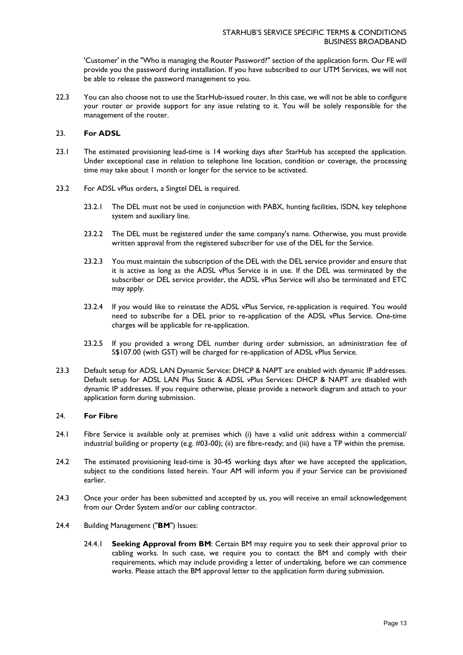'Customer' in the "Who is managing the Router Password?" section of the application form. Our FE will provide you the password during installation. If you have subscribed to our UTM Services, we will not be able to release the password management to you.

22.3 You can also choose not to use the StarHub-issued router. In this case, we will not be able to configure your router or provide support for any issue relating to it. You will be solely responsible for the management of the router.

#### 23. **For ADSL**

- 23.1 The estimated provisioning lead-time is 14 working days after StarHub has accepted the application. Under exceptional case in relation to telephone line location, condition or coverage, the processing time may take about 1 month or longer for the service to be activated.
- 23.2 For ADSL vPlus orders, a Singtel DEL is required.
	- 23.2.1 The DEL must not be used in conjunction with PABX, hunting facilities, ISDN, key telephone system and auxiliary line.
	- 23.2.2 The DEL must be registered under the same company's name. Otherwise, you must provide written approval from the registered subscriber for use of the DEL for the Service.
	- 23.2.3 You must maintain the subscription of the DEL with the DEL service provider and ensure that it is active as long as the ADSL vPlus Service is in use. If the DEL was terminated by the subscriber or DEL service provider, the ADSL vPlus Service will also be terminated and ETC may apply.
	- 23.2.4 If you would like to reinstate the ADSL vPlus Service, re-application is required. You would need to subscribe for a DEL prior to re-application of the ADSL vPlus Service. One-time charges will be applicable for re-application.
	- 23.2.5 If you provided a wrong DEL number during order submission, an administration fee of S\$107.00 (with GST) will be charged for re-application of ADSL vPlus Service.
- 23.3 Default setup for ADSL LAN Dynamic Service: DHCP & NAPT are enabled with dynamic IP addresses. Default setup for ADSL LAN Plus Static & ADSL vPlus Services: DHCP & NAPT are disabled with dynamic IP addresses. If you require otherwise, please provide a network diagram and attach to your application form during submission.

#### 24. **For Fibre**

- 24.1 Fibre Service is available only at premises which (i) have a valid unit address within a commercial/ industrial building or property (e.g. #03-00); (ii) are fibre-ready; and (iii) have a TP within the premise.
- 24.2 The estimated provisioning lead-time is 30-45 working days after we have accepted the application, subject to the conditions listed herein. Your AM will inform you if your Service can be provisioned earlier.
- 24.3 Once your order has been submitted and accepted by us, you will receive an email acknowledgement from our Order System and/or our cabling contractor.
- 24.4 Building Management ("**BM**") Issues:
	- 24.4.1 **Seeking Approval from BM**: Certain BM may require you to seek their approval prior to cabling works. In such case, we require you to contact the BM and comply with their requirements, which may include providing a letter of undertaking, before we can commence works. Please attach the BM approval letter to the application form during submission.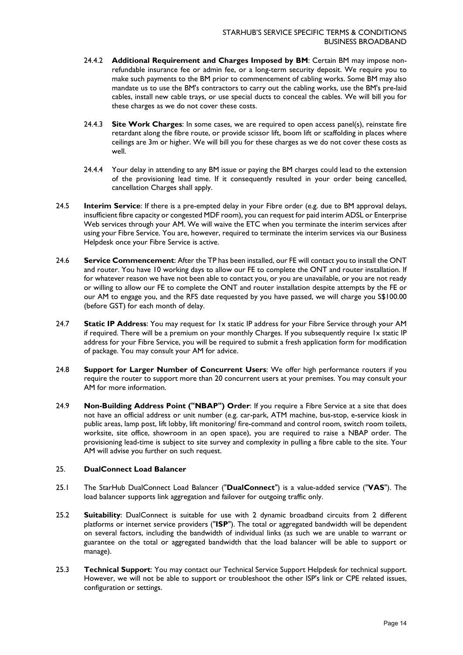- 24.4.2 **Additional Requirement and Charges Imposed by BM**: Certain BM may impose nonrefundable insurance fee or admin fee, or a long-term security deposit. We require you to make such payments to the BM prior to commencement of cabling works. Some BM may also mandate us to use the BM's contractors to carry out the cabling works, use the BM's pre-laid cables, install new cable trays, or use special ducts to conceal the cables. We will bill you for these charges as we do not cover these costs.
- 24.4.3 **Site Work Charges**: In some cases, we are required to open access panel(s), reinstate fire retardant along the fibre route, or provide scissor lift, boom lift or scaffolding in places where ceilings are 3m or higher. We will bill you for these charges as we do not cover these costs as well.
- 24.4.4 Your delay in attending to any BM issue or paying the BM charges could lead to the extension of the provisioning lead time. If it consequently resulted in your order being cancelled, cancellation Charges shall apply.
- 24.5 **Interim Service**: If there is a pre-empted delay in your Fibre order (e.g. due to BM approval delays, insufficient fibre capacity or congested MDF room), you can request for paid interim ADSL or Enterprise Web services through your AM. We will waive the ETC when you terminate the interim services after using your Fibre Service. You are, however, required to terminate the interim services via our Business Helpdesk once your Fibre Service is active.
- 24.6 **Service Commencement**: After the TP has been installed, our FE will contact you to install the ONT and router. You have 10 working days to allow our FE to complete the ONT and router installation. If for whatever reason we have not been able to contact you, or you are unavailable, or you are not ready or willing to allow our FE to complete the ONT and router installation despite attempts by the FE or our AM to engage you, and the RFS date requested by you have passed, we will charge you S\$100.00 (before GST) for each month of delay.
- 24.7 **Static IP Address**: You may request for 1x static IP address for your Fibre Service through your AM if required. There will be a premium on your monthly Charges. If you subsequently require 1x static IP address for your Fibre Service, you will be required to submit a fresh application form for modification of package. You may consult your AM for advice.
- 24.8 **Support for Larger Number of Concurrent Users**: We offer high performance routers if you require the router to support more than 20 concurrent users at your premises. You may consult your AM for more information.
- 24.9 **Non-Building Address Point ("NBAP") Order**: If you require a Fibre Service at a site that does not have an official address or unit number (e.g. car-park, ATM machine, bus-stop, e-service kiosk in public areas, lamp post, lift lobby, lift monitoring/ fire-command and control room, switch room toilets, worksite, site office, showroom in an open space), you are required to raise a NBAP order. The provisioning lead-time is subject to site survey and complexity in pulling a fibre cable to the site. Your AM will advise you further on such request.

### 25. **DualConnect Load Balancer**

- 25.1 The StarHub DualConnect Load Balancer ("**DualConnect**") is a value-added service ("**VAS**"). The load balancer supports link aggregation and failover for outgoing traffic only.
- 25.2 **Suitability**: DualConnect is suitable for use with 2 dynamic broadband circuits from 2 different platforms or internet service providers ("**ISP**"). The total or aggregated bandwidth will be dependent on several factors, including the bandwidth of individual links (as such we are unable to warrant or guarantee on the total or aggregated bandwidth that the load balancer will be able to support or manage).
- 25.3 **Technical Support**: You may contact our Technical Service Support Helpdesk for technical support. However, we will not be able to support or troubleshoot the other ISP's link or CPE related issues, configuration or settings.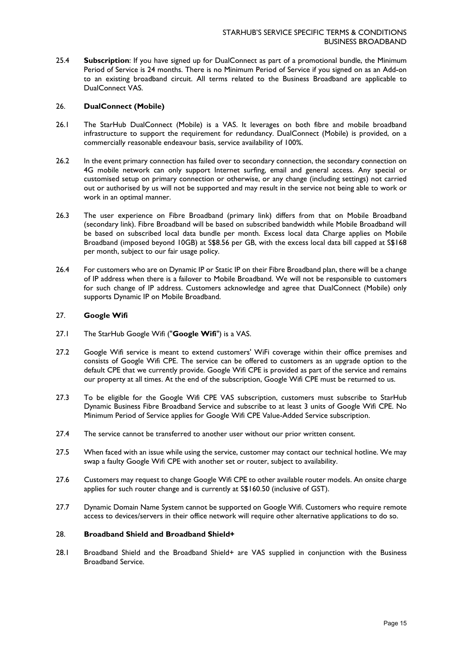25.4 **Subscription**: If you have signed up for DualConnect as part of a promotional bundle, the Minimum Period of Service is 24 months. There is no Minimum Period of Service if you signed on as an Add-on to an existing broadband circuit. All terms related to the Business Broadband are applicable to DualConnect VAS.

#### 26. **DualConnect (Mobile)**

- 26.1 The StarHub DualConnect (Mobile) is a VAS. It leverages on both fibre and mobile broadband infrastructure to support the requirement for redundancy. DualConnect (Mobile) is provided, on a commercially reasonable endeavour basis, service availability of 100%.
- 26.2 In the event primary connection has failed over to secondary connection, the secondary connection on 4G mobile network can only support Internet surfing, email and general access. Any special or customised setup on primary connection or otherwise, or any change (including settings) not carried out or authorised by us will not be supported and may result in the service not being able to work or work in an optimal manner.
- 26.3 The user experience on Fibre Broadband (primary link) differs from that on Mobile Broadband (secondary link). Fibre Broadband will be based on subscribed bandwidth while Mobile Broadband will be based on subscribed local data bundle per month. Excess local data Charge applies on Mobile Broadband (imposed beyond 10GB) at S\$8.56 per GB, with the excess local data bill capped at S\$168 per month, subject to our fair usage policy.
- 26.4 For customers who are on Dynamic IP or Static IP on their Fibre Broadband plan, there will be a change of IP address when there is a failover to Mobile Broadband. We will not be responsible to customers for such change of IP address. Customers acknowledge and agree that DualConnect (Mobile) only supports Dynamic IP on Mobile Broadband.

### 27. **Google Wifi**

- 27.1 The StarHub Google Wifi ("**Google Wifi**") is a VAS.
- 27.2 Google Wifi service is meant to extend customers' WiFi coverage within their office premises and consists of Google Wifi CPE. The service can be offered to customers as an upgrade option to the default CPE that we currently provide. Google Wifi CPE is provided as part of the service and remains our property at all times. At the end of the subscription, Google Wifi CPE must be returned to us.
- 27.3 To be eligible for the Google Wifi CPE VAS subscription, customers must subscribe to StarHub Dynamic Business Fibre Broadband Service and subscribe to at least 3 units of Google Wifi CPE. No Minimum Period of Service applies for Google Wifi CPE Value-Added Service subscription.
- 27.4 The service cannot be transferred to another user without our prior written consent.
- 27.5 When faced with an issue while using the service, customer may contact our technical hotline. We may swap a faulty Google Wifi CPE with another set or router, subject to availability.
- 27.6 Customers may request to change Google Wifi CPE to other available router models. An onsite charge applies for such router change and is currently at S\$160.50 (inclusive of GST).
- 27.7 Dynamic Domain Name System cannot be supported on Google Wifi. Customers who require remote access to devices/servers in their office network will require other alternative applications to do so.

#### 28. **Broadband Shield and Broadband Shield+**

28.1 Broadband Shield and the Broadband Shield+ are VAS supplied in conjunction with the Business Broadband Service.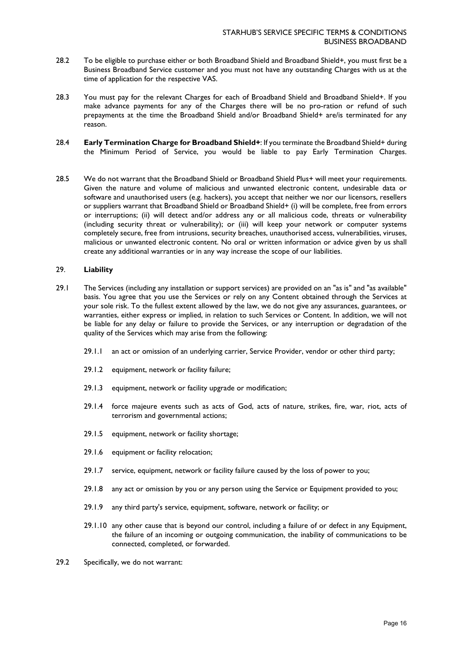- 28.2 To be eligible to purchase either or both Broadband Shield and Broadband Shield+, you must first be a Business Broadband Service customer and you must not have any outstanding Charges with us at the time of application for the respective VAS.
- 28.3 You must pay for the relevant Charges for each of Broadband Shield and Broadband Shield+. If you make advance payments for any of the Charges there will be no pro-ration or refund of such prepayments at the time the Broadband Shield and/or Broadband Shield+ are/is terminated for any reason.
- 28.4 **Early Termination Charge for Broadband Shield+**: If you terminate the Broadband Shield+ during the Minimum Period of Service, you would be liable to pay Early Termination Charges.
- 28.5 We do not warrant that the Broadband Shield or Broadband Shield Plus+ will meet your requirements. Given the nature and volume of malicious and unwanted electronic content, undesirable data or software and unauthorised users (e.g. hackers), you accept that neither we nor our licensors, resellers or suppliers warrant that Broadband Shield or Broadband Shield+ (i) will be complete, free from errors or interruptions; (ii) will detect and/or address any or all malicious code, threats or vulnerability (including security threat or vulnerability); or (iii) will keep your network or computer systems completely secure, free from intrusions, security breaches, unauthorised access, vulnerabilities, viruses, malicious or unwanted electronic content. No oral or written information or advice given by us shall create any additional warranties or in any way increase the scope of our liabilities.

### 29. **Liability**

- 29.1 The Services (including any installation or support services) are provided on an "as is" and "as available" basis. You agree that you use the Services or rely on any Content obtained through the Services at your sole risk. To the fullest extent allowed by the law, we do not give any assurances, guarantees, or warranties, either express or implied, in relation to such Services or Content. In addition, we will not be liable for any delay or failure to provide the Services, or any interruption or degradation of the quality of the Services which may arise from the following:
	- 29.1.1 an act or omission of an underlying carrier, Service Provider, vendor or other third party;
	- 29.1.2 equipment, network or facility failure;
	- 29.1.3 equipment, network or facility upgrade or modification;
	- 29.1.4 force majeure events such as acts of God, acts of nature, strikes, fire, war, riot, acts of terrorism and governmental actions;
	- 29.1.5 equipment, network or facility shortage;
	- 29.1.6 equipment or facility relocation;
	- 29.1.7 service, equipment, network or facility failure caused by the loss of power to you;
	- 29.1.8 any act or omission by you or any person using the Service or Equipment provided to you;
	- 29.1.9 any third party's service, equipment, software, network or facility; or
	- 29.1.10 any other cause that is beyond our control, including a failure of or defect in any Equipment, the failure of an incoming or outgoing communication, the inability of communications to be connected, completed, or forwarded.
- 29.2 Specifically, we do not warrant: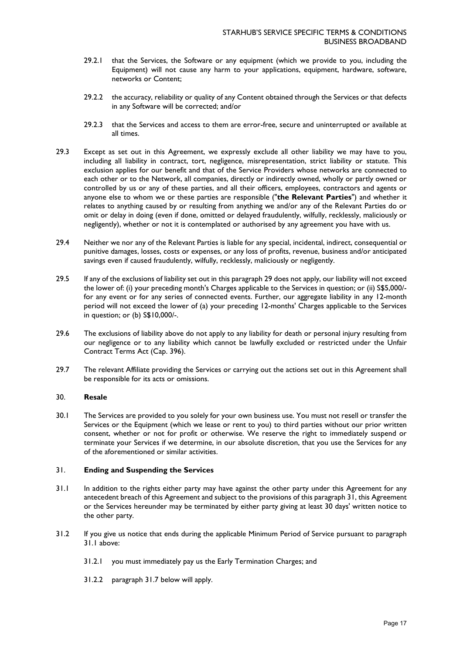- 29.2.1 that the Services, the Software or any equipment (which we provide to you, including the Equipment) will not cause any harm to your applications, equipment, hardware, software, networks or Content;
- 29.2.2 the accuracy, reliability or quality of any Content obtained through the Services or that defects in any Software will be corrected; and/or
- 29.2.3 that the Services and access to them are error-free, secure and uninterrupted or available at all times.
- 29.3 Except as set out in this Agreement, we expressly exclude all other liability we may have to you, including all liability in contract, tort, negligence, misrepresentation, strict liability or statute. This exclusion applies for our benefit and that of the Service Providers whose networks are connected to each other or to the Network, all companies, directly or indirectly owned, wholly or partly owned or controlled by us or any of these parties, and all their officers, employees, contractors and agents or anyone else to whom we or these parties are responsible ("**the Relevant Parties**") and whether it relates to anything caused by or resulting from anything we and/or any of the Relevant Parties do or omit or delay in doing (even if done, omitted or delayed fraudulently, wilfully, recklessly, maliciously or negligently), whether or not it is contemplated or authorised by any agreement you have with us.
- 29.4 Neither we nor any of the Relevant Parties is liable for any special, incidental, indirect, consequential or punitive damages, losses, costs or expenses, or any loss of profits, revenue, business and/or anticipated savings even if caused fraudulently, wilfully, recklessly, maliciously or negligently.
- 29.5 If any of the exclusions of liability set out in this paragraph 29 does not apply, our liability will not exceed the lower of: (i) your preceding month's Charges applicable to the Services in question; or (ii) S\$5,000/ for any event or for any series of connected events. Further, our aggregate liability in any 12-month period will not exceed the lower of (a) your preceding 12-months' Charges applicable to the Services in question; or (b) S\$10,000/-.
- 29.6 The exclusions of liability above do not apply to any liability for death or personal injury resulting from our negligence or to any liability which cannot be lawfully excluded or restricted under the Unfair Contract Terms Act (Cap. 396).
- 29.7 The relevant Affiliate providing the Services or carrying out the actions set out in this Agreement shall be responsible for its acts or omissions.

## 30. **Resale**

30.1 The Services are provided to you solely for your own business use. You must not resell or transfer the Services or the Equipment (which we lease or rent to you) to third parties without our prior written consent, whether or not for profit or otherwise. We reserve the right to immediately suspend or terminate your Services if we determine, in our absolute discretion, that you use the Services for any of the aforementioned or similar activities.

### 31. **Ending and Suspending the Services**

- <span id="page-16-0"></span>31.1 In addition to the rights either party may have against the other party under this Agreement for any antecedent breach of this Agreement and subject to the provisions of this paragraph 31, this Agreement or the Services hereunder may be terminated by either party giving at least 30 days' written notice to the other party.
- <span id="page-16-1"></span>31.2 If you give us notice that ends during the applicable Minimum Period of Service pursuant to paragraph [31.1](#page-16-0) above:
	- 31.2.1 you must immediately pay us the Early Termination Charges; and
	- 31.2.2 paragraph [31.7](#page-17-0) below will apply.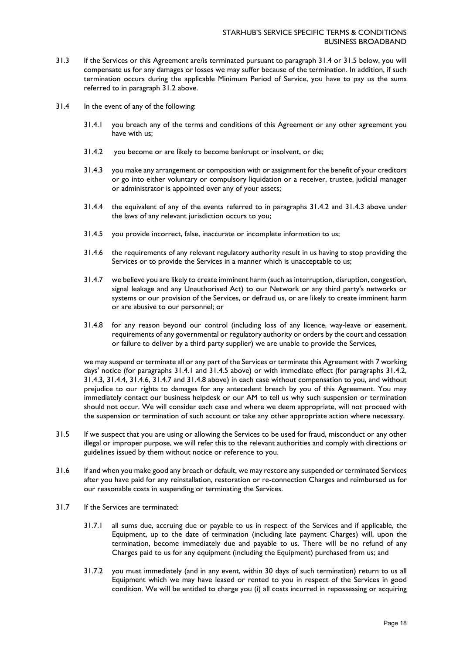- 31.3 If the Services or this Agreement are/is terminated pursuant to paragraph [31.4](#page-17-1) or [31.5](#page-17-2) below, you will compensate us for any damages or losses we may suffer because of the termination. In addition, if such termination occurs during the applicable Minimum Period of Service, you have to pay us the sums referred to in paragraph [31.2](#page-16-1) above.
- <span id="page-17-5"></span><span id="page-17-4"></span><span id="page-17-3"></span><span id="page-17-1"></span>31.4 In the event of any of the following:
	- 31.4.1 you breach any of the terms and conditions of this Agreement or any other agreement you have with us;
	- 31.4.2 you become or are likely to become bankrupt or insolvent, or die;
	- 31.4.3 you make any arrangement or composition with or assignment for the benefit of your creditors or go into either voluntary or compulsory liquidation or a receiver, trustee, judicial manager or administrator is appointed over any of your assets;
	- 31.4.4 the equivalent of any of the events referred to in paragraphs [31.4.2](#page-17-3) and [31.4.3](#page-17-4) above under the laws of any relevant jurisdiction occurs to you;
	- 31.4.5 you provide incorrect, false, inaccurate or incomplete information to us;
	- 31.4.6 the requirements of any relevant regulatory authority result in us having to stop providing the Services or to provide the Services in a manner which is unacceptable to us;
	- 31.4.7 we believe you are likely to create imminent harm (such as interruption, disruption, congestion, signal leakage and any Unauthorised Act) to our Network or any third party's networks or systems or our provision of the Services, or defraud us, or are likely to create imminent harm or are abusive to our personnel; or
	- 31.4.8 for any reason beyond our control (including loss of any licence, way-leave or easement, requirements of any governmental or regulatory authority or orders by the court and cessation or failure to deliver by a third party supplier) we are unable to provide the Services,

<span id="page-17-8"></span><span id="page-17-7"></span><span id="page-17-6"></span>we may suspend or terminate all or any part of the Services or terminate this Agreement with 7 working days' notice (for paragraphs 31.4.1 and 31.4.5 above) or with immediate effect (for paragraphs [31.4.2,](#page-17-3) [31.4.3,](#page-17-4) [31.4.4,](#page-17-5) [31.4.6,](#page-17-6) [31.4.7](#page-17-7) and [31.4.8](#page-17-8) above) in each case without compensation to you, and without prejudice to our rights to damages for any antecedent breach by you of this Agreement. You may immediately contact our business helpdesk or our AM to tell us why such suspension or termination should not occur. We will consider each case and where we deem appropriate, will not proceed with the suspension or termination of such account or take any other appropriate action where necessary.

- <span id="page-17-2"></span>31.5 If we suspect that you are using or allowing the Services to be used for fraud, misconduct or any other illegal or improper purpose, we will refer this to the relevant authorities and comply with directions or guidelines issued by them without notice or reference to you.
- <span id="page-17-9"></span>31.6 If and when you make good any breach or default, we may restore any suspended or terminated Services after you have paid for any reinstallation, restoration or re-connection Charges and reimbursed us for our reasonable costs in suspending or terminating the Services.
- <span id="page-17-0"></span>31.7 If the Services are terminated:
	- 31.7.1 all sums due, accruing due or payable to us in respect of the Services and if applicable, the Equipment, up to the date of termination (including late payment Charges) will, upon the termination, become immediately due and payable to us. There will be no refund of any Charges paid to us for any equipment (including the Equipment) purchased from us; and
	- 31.7.2 you must immediately (and in any event, within 30 days of such termination) return to us all Equipment which we may have leased or rented to you in respect of the Services in good condition. We will be entitled to charge you (i) all costs incurred in repossessing or acquiring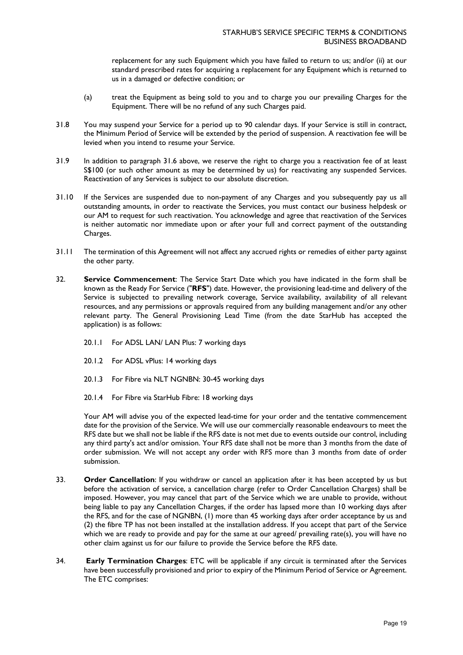replacement for any such Equipment which you have failed to return to us; and/or (ii) at our standard prescribed rates for acquiring a replacement for any Equipment which is returned to us in a damaged or defective condition; or

- (a) treat the Equipment as being sold to you and to charge you our prevailing Charges for the Equipment. There will be no refund of any such Charges paid.
- 31.8 You may suspend your Service for a period up to 90 calendar days. If your Service is still in contract, the Minimum Period of Service will be extended by the period of suspension. A reactivation fee will be levied when you intend to resume your Service.
- 31.9 In addition to paragraph [31.6](#page-17-9) above, we reserve the right to charge you a reactivation fee of at least S\$100 (or such other amount as may be determined by us) for reactivating any suspended Services. Reactivation of any Services is subject to our absolute discretion.
- 31.10 If the Services are suspended due to non-payment of any Charges and you subsequently pay us all outstanding amounts, in order to reactivate the Services, you must contact our business helpdesk or our AM to request for such reactivation. You acknowledge and agree that reactivation of the Services is neither automatic nor immediate upon or after your full and correct payment of the outstanding Charges.
- 31.11 The termination of this Agreement will not affect any accrued rights or remedies of either party against the other party.
- 32. **Service Commencement**: The Service Start Date which you have indicated in the form shall be known as the Ready For Service ("**RFS**") date. However, the provisioning lead-time and delivery of the Service is subjected to prevailing network coverage, Service availability, availability of all relevant resources, and any permissions or approvals required from any building management and/or any other relevant party. The General Provisioning Lead Time (from the date StarHub has accepted the application) is as follows:
	- 20.1.1 For ADSL LAN/ LAN Plus: 7 working days
	- 20.1.2 For ADSL vPlus: 14 working days
	- 20.1.3 For Fibre via NLT NGNBN: 30-45 working days
	- 20.1.4 For Fibre via StarHub Fibre: 18 working days

Your AM will advise you of the expected lead-time for your order and the tentative commencement date for the provision of the Service. We will use our commercially reasonable endeavours to meet the RFS date but we shall not be liable if the RFS date is not met due to events outside our control, including any third party's act and/or omission. Your RFS date shall not be more than 3 months from the date of order submission. We will not accept any order with RFS more than 3 months from date of order submission.

- 33. **Order Cancellation**: If you withdraw or cancel an application after it has been accepted by us but before the activation of service, a cancellation charge (refer to Order Cancellation Charges) shall be imposed. However, you may cancel that part of the Service which we are unable to provide, without being liable to pay any Cancellation Charges, if the order has lapsed more than 10 working days after the RFS, and for the case of NGNBN, (1) more than 45 working days after order acceptance by us and (2) the fibre TP has not been installed at the installation address. If you accept that part of the Service which we are ready to provide and pay for the same at our agreed/ prevailing rate(s), you will have no other claim against us for our failure to provide the Service before the RFS date.
- 34. **Early Termination Charges**: ETC will be applicable if any circuit is terminated after the Services have been successfully provisioned and prior to expiry of the Minimum Period of Service or Agreement. The ETC comprises: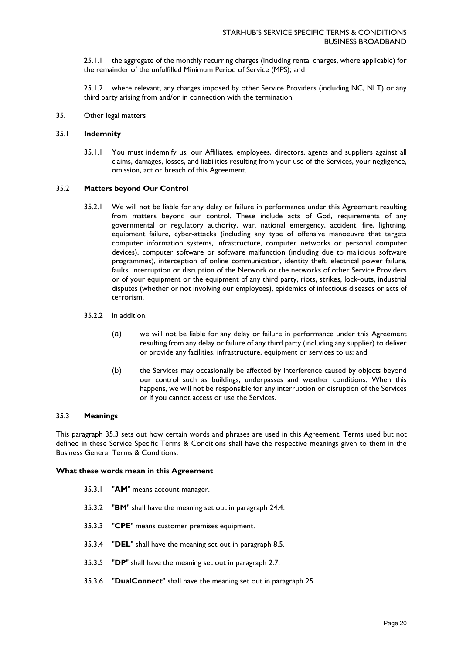25.1.1 the aggregate of the monthly recurring charges (including rental charges, where applicable) for the remainder of the unfulfilled Minimum Period of Service (MPS); and

25.1.2 where relevant, any charges imposed by other Service Providers (including NC, NLT) or any third party arising from and/or in connection with the termination.

35. Other legal matters

#### 35.1 **Indemnity**

35.1.1 You must indemnify us, our Affiliates, employees, directors, agents and suppliers against all claims, damages, losses, and liabilities resulting from your use of the Services, your negligence, omission, act or breach of this Agreement.

#### 35.2 **Matters beyond Our Control**

- 35.2.1 We will not be liable for any delay or failure in performance under this Agreement resulting from matters beyond our control. These include acts of God, requirements of any governmental or regulatory authority, war, national emergency, accident, fire, lightning, equipment failure, cyber-attacks (including any type of offensive manoeuvre that targets computer information systems, infrastructure, computer networks or personal computer devices), computer software or software malfunction (including due to malicious software programmes), interception of online communication, identity theft, electrical power failure, faults, interruption or disruption of the Network or the networks of other Service Providers or of your equipment or the equipment of any third party, riots, strikes, lock-outs, industrial disputes (whether or not involving our employees), epidemics of infectious diseases or acts of terrorism.
- 35.2.2 In addition:
	- (a) we will not be liable for any delay or failure in performance under this Agreement resulting from any delay or failure of any third party (including any supplier) to deliver or provide any facilities, infrastructure, equipment or services to us; and
	- (b) the Services may occasionally be affected by interference caused by objects beyond our control such as buildings, underpasses and weather conditions. When this happens, we will not be responsible for any interruption or disruption of the Services or if you cannot access or use the Services.

#### 35.3 **Meanings**

This paragraph 35.3 sets out how certain words and phrases are used in this Agreement. Terms used but not defined in these Service Specific Terms & Conditions shall have the respective meanings given to them in the Business General Terms & Conditions.

#### **What these words mean in this Agreement**

- 35.3.1 "**AM**" means account manager.
- 35.3.2 "**BM**" shall have the meaning set out in paragraph 24.4.
- 35.3.3 "**CPE**" means customer premises equipment.
- 35.3.4 "**DEL**" shall have the meaning set out in paragraph 8.5.
- 35.3.5 "**DP**" shall have the meaning set out in paragraph 2.7.
- 35.3.6 "**DualConnect**" shall have the meaning set out in paragraph 25.1.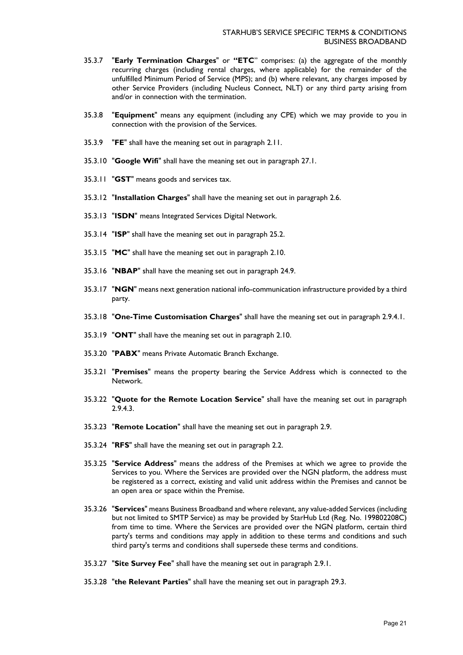- 35.3.7 "**Early Termination Charges**" or **"ETC**" comprises: (a) the aggregate of the monthly recurring charges (including rental charges, where applicable) for the remainder of the unfulfilled Minimum Period of Service (MPS); and (b) where relevant, any charges imposed by other Service Providers (including Nucleus Connect, NLT) or any third party arising from and/or in connection with the termination.
- 35.3.8 "**Equipment**" means any equipment (including any CPE) which we may provide to you in connection with the provision of the Services.
- 35.3.9 "**FE**" shall have the meaning set out in paragraph 2.11.
- 35.3.10 "**Google Wifi**" shall have the meaning set out in paragraph 27.1.
- 35.3.11 "**GST**" means goods and services tax.
- 35.3.12 "**Installation Charges**" shall have the meaning set out in paragraph 2.6.
- 35.3.13 "**ISDN**" means Integrated Services Digital Network.
- 35.3.14 "**ISP**" shall have the meaning set out in paragraph 25.2.
- 35.3.15 "**MC**" shall have the meaning set out in paragraph 2.10.
- 35.3.16 "**NBAP**" shall have the meaning set out in paragraph 24.9.
- 35.3.17 "**NGN**" means next generation national info-communication infrastructure provided by a third party.
- 35.3.18 "**One-Time Customisation Charges**" shall have the meaning set out in paragraph 2.9.4.1.
- 35.3.19 "**ONT**" shall have the meaning set out in paragraph 2.10.
- 35.3.20 "**PABX**" means Private Automatic Branch Exchange.
- 35.3.21 "**Premises**" means the property bearing the Service Address which is connected to the Network.
- 35.3.22 "**Quote for the Remote Location Service**" shall have the meaning set out in paragraph 2.9.4.3.
- 35.3.23 "**Remote Location**" shall have the meaning set out in paragraph 2.9.
- 35.3.24 "**RFS**" shall have the meaning set out in paragraph 2.2.
- 35.3.25 "**Service Address**" means the address of the Premises at which we agree to provide the Services to you. Where the Services are provided over the NGN platform, the address must be registered as a correct, existing and valid unit address within the Premises and cannot be an open area or space within the Premise.
- 35.3.26 "**Services**" means Business Broadband and where relevant, any value-added Services (including but not limited to SMTP Service) as may be provided by StarHub Ltd (Reg. No. 199802208C) from time to time. Where the Services are provided over the NGN platform, certain third party's terms and conditions may apply in addition to these terms and conditions and such third party's terms and conditions shall supersede these terms and conditions.
- 35.3.27 "**Site Survey Fee**" shall have the meaning set out in paragraph 2.9.1.
- 35.3.28 "**the Relevant Parties**" shall have the meaning set out in paragraph 29.3.